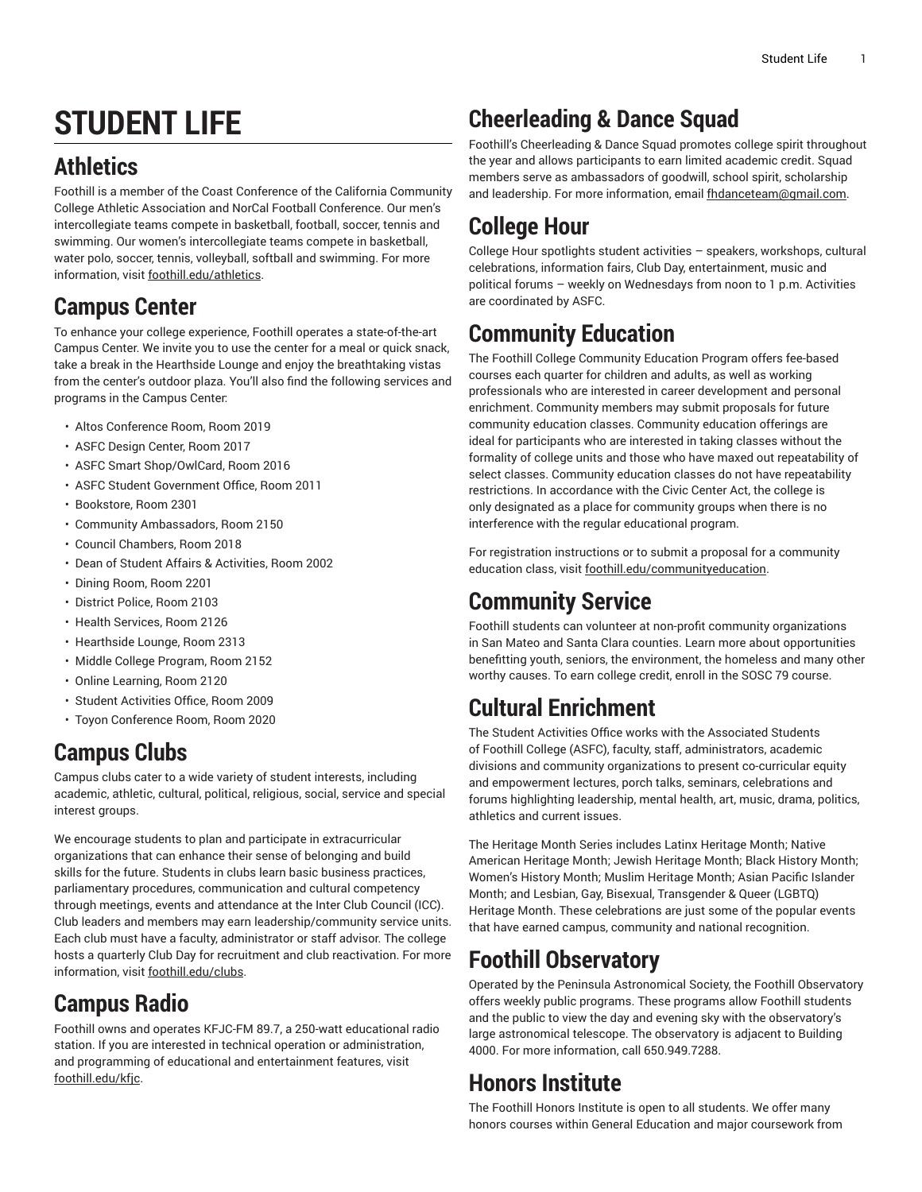# **STUDENT LIFE**

# **Athletics**

Foothill is a member of the Coast Conference of the California Community College Athletic Association and NorCal Football Conference. Our men's intercollegiate teams compete in basketball, football, soccer, tennis and swimming. Our women's intercollegiate teams compete in basketball, water polo, soccer, tennis, volleyball, softball and swimming. For more information, visit [foothill.edu/athletics](http://www.foothill.edu/athletics/).

## **Campus Center**

To enhance your college experience, Foothill operates a state-of-the-art Campus Center. We invite you to use the center for a meal or quick snack, take a break in the Hearthside Lounge and enjoy the breathtaking vistas from the center's outdoor plaza. You'll also find the following services and programs in the Campus Center:

- Altos Conference Room, Room 2019
- ASFC Design Center, Room 2017
- ASFC Smart Shop/OwlCard, Room 2016
- ASFC Student Government Office, Room 2011
- Bookstore, Room 2301
- Community Ambassadors, Room 2150
- Council Chambers, Room 2018
- Dean of Student Affairs & Activities, Room 2002
- Dining Room, Room 2201
- District Police, Room 2103
- Health Services, Room 2126
- Hearthside Lounge, Room 2313
- Middle College Program, Room 2152
- Online Learning, Room 2120
- Student Activities Office, Room 2009
- Toyon Conference Room, Room 2020

## **Campus Clubs**

Campus clubs cater to a wide variety of student interests, including academic, athletic, cultural, political, religious, social, service and special interest groups.

We encourage students to plan and participate in extracurricular organizations that can enhance their sense of belonging and build skills for the future. Students in clubs learn basic business practices, parliamentary procedures, communication and cultural competency through meetings, events and attendance at the Inter Club Council (ICC). Club leaders and members may earn leadership/community service units. Each club must have a faculty, administrator or staff advisor. The college hosts a quarterly Club Day for recruitment and club reactivation. For more information, visit [foothill.edu/clubs.](http://www.foothill.edu/clubs/)

# **Campus Radio**

Foothill owns and operates KFJC-FM 89.7, a 250-watt educational radio station. If you are interested in technical operation or administration, and programming of educational and entertainment features, visit [foothill.edu/kfjc](http://www.foothill.edu/kfjc/).

# **Cheerleading & Dance Squad**

Foothill's Cheerleading & Dance Squad promotes college spirit throughout the year and allows participants to earn limited academic credit. Squad members serve as ambassadors of goodwill, school spirit, scholarship and leadership. For more information, email [fhdanceteam@gmail.com](mailto:fhdanceteam@gmail.com).

# **College Hour**

College Hour spotlights student activities – speakers, workshops, cultural celebrations, information fairs, Club Day, entertainment, music and political forums – weekly on Wednesdays from noon to 1 p.m. Activities are coordinated by ASFC.

## **Community Education**

The Foothill College Community Education Program offers fee-based courses each quarter for children and adults, as well as working professionals who are interested in career development and personal enrichment. Community members may submit proposals for future community education classes. Community education offerings are ideal for participants who are interested in taking classes without the formality of college units and those who have maxed out repeatability of select classes. Community education classes do not have repeatability restrictions. In accordance with the Civic Center Act, the college is only designated as a place for community groups when there is no interference with the regular educational program.

For registration instructions or to submit a proposal for a community education class, visit [foothill.edu/communityeducation](http://www.foothill.edu/communityeducation/).

## **Community Service**

Foothill students can volunteer at non-profit community organizations in San Mateo and Santa Clara counties. Learn more about opportunities benefitting youth, seniors, the environment, the homeless and many other worthy causes. To earn college credit, enroll in the SOSC 79 course.

## **Cultural Enrichment**

The Student Activities Office works with the Associated Students of Foothill College (ASFC), faculty, staff, administrators, academic divisions and community organizations to present co-curricular equity and empowerment lectures, porch talks, seminars, celebrations and forums highlighting leadership, mental health, art, music, drama, politics, athletics and current issues.

The Heritage Month Series includes Latinx Heritage Month; Native American Heritage Month; Jewish Heritage Month; Black History Month; Women's History Month; Muslim Heritage Month; Asian Pacific Islander Month; and Lesbian, Gay, Bisexual, Transgender & Queer (LGBTQ) Heritage Month. These celebrations are just some of the popular events that have earned campus, community and national recognition.

## **Foothill Observatory**

Operated by the Peninsula Astronomical Society, the Foothill Observatory offers weekly public programs. These programs allow Foothill students and the public to view the day and evening sky with the observatory's large astronomical telescope. The observatory is adjacent to Building 4000. For more information, call 650.949.7288.

#### **Honors Institute**

The Foothill Honors Institute is open to all students. We offer many honors courses within General Education and major coursework from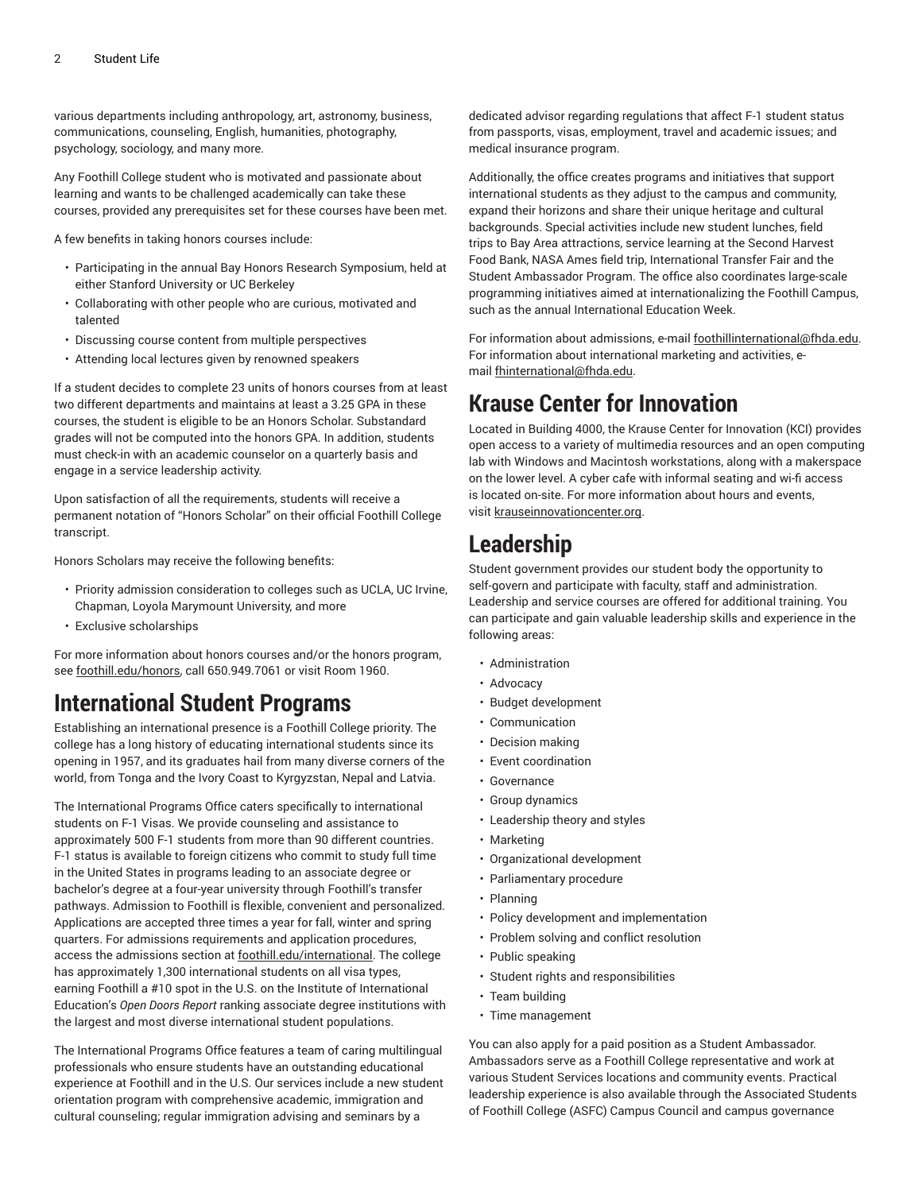various departments including anthropology, art, astronomy, business, communications, counseling, English, humanities, photography, psychology, sociology, and many more.

Any Foothill College student who is motivated and passionate about learning and wants to be challenged academically can take these courses, provided any prerequisites set for these courses have been met.

A few benefits in taking honors courses include:

- Participating in the annual Bay Honors Research Symposium, held at either Stanford University or UC Berkeley
- Collaborating with other people who are curious, motivated and talented
- Discussing course content from multiple perspectives
- Attending local lectures given by renowned speakers

If a student decides to complete 23 units of honors courses from at least two different departments and maintains at least a 3.25 GPA in these courses, the student is eligible to be an Honors Scholar. Substandard grades will not be computed into the honors GPA. In addition, students must check-in with an academic counselor on a quarterly basis and engage in a service leadership activity.

Upon satisfaction of all the requirements, students will receive a permanent notation of "Honors Scholar" on their official Foothill College transcript.

Honors Scholars may receive the following benefits:

- Priority admission consideration to colleges such as UCLA, UC Irvine, Chapman, Loyola Marymount University, and more
- Exclusive scholarships

For more information about honors courses and/or the honors program, see [foothill.edu/honors,](http://www.foothill.edu/honors/) call 650.949.7061 or visit Room 1960.

#### **International Student Programs**

Establishing an international presence is a Foothill College priority. The college has a long history of educating international students since its opening in 1957, and its graduates hail from many diverse corners of the world, from Tonga and the Ivory Coast to Kyrgyzstan, Nepal and Latvia.

The International Programs Office caters specifically to international students on F-1 Visas. We provide counseling and assistance to approximately 500 F-1 students from more than 90 different countries. F-1 status is available to foreign citizens who commit to study full time in the United States in programs leading to an associate degree or bachelor's degree at a four-year university through Foothill's transfer pathways. Admission to Foothill is flexible, convenient and personalized. Applications are accepted three times a year for fall, winter and spring quarters. For admissions requirements and application procedures, access the admissions section at [foothill.edu/international.](http://www.foothill.edu/international/) The college has approximately 1,300 international students on all visa types, earning Foothill a #10 spot in the U.S. on the Institute of International Education's *Open Doors Report* ranking associate degree institutions with the largest and most diverse international student populations.

The International Programs Office features a team of caring multilingual professionals who ensure students have an outstanding educational experience at Foothill and in the U.S. Our services include a new student orientation program with comprehensive academic, immigration and cultural counseling; regular immigration advising and seminars by a

dedicated advisor regarding regulations that affect F-1 student status from passports, visas, employment, travel and academic issues; and medical insurance program.

Additionally, the office creates programs and initiatives that support international students as they adjust to the campus and community, expand their horizons and share their unique heritage and cultural backgrounds. Special activities include new student lunches, field trips to Bay Area attractions, service learning at the Second Harvest Food Bank, NASA Ames field trip, International Transfer Fair and the Student Ambassador Program. The office also coordinates large-scale programming initiatives aimed at internationalizing the Foothill Campus, such as the annual International Education Week.

For information about admissions, e-mail [foothillinternational@fhda.edu](mailto:foothillinternational@fhda.edu). For information about international marketing and activities, email [fhinternational@fhda.edu](mailto:fhinternational@fhda.edu).

#### **Krause Center for Innovation**

Located in Building 4000, the Krause Center for Innovation (KCI) provides open access to a variety of multimedia resources and an open computing lab with Windows and Macintosh workstations, along with a makerspace on the lower level. A cyber cafe with informal seating and wi-fi access is located on-site. For more information about hours and events, visit [krauseinnovationcenter.org](http://www.krauseinnovationcenter.org).

#### **Leadership**

Student government provides our student body the opportunity to self-govern and participate with faculty, staff and administration. Leadership and service courses are offered for additional training. You can participate and gain valuable leadership skills and experience in the following areas:

- Administration
- Advocacy
- Budget development
- Communication
- Decision making
- Event coordination
- Governance
- Group dynamics
- Leadership theory and styles
- Marketing
- Organizational development
- Parliamentary procedure
- Planning
- Policy development and implementation
- Problem solving and conflict resolution
- Public speaking
- Student rights and responsibilities
- Team building
- Time management

You can also apply for a paid position as a Student Ambassador. Ambassadors serve as a Foothill College representative and work at various Student Services locations and community events. Practical leadership experience is also available through the Associated Students of Foothill College (ASFC) Campus Council and campus governance